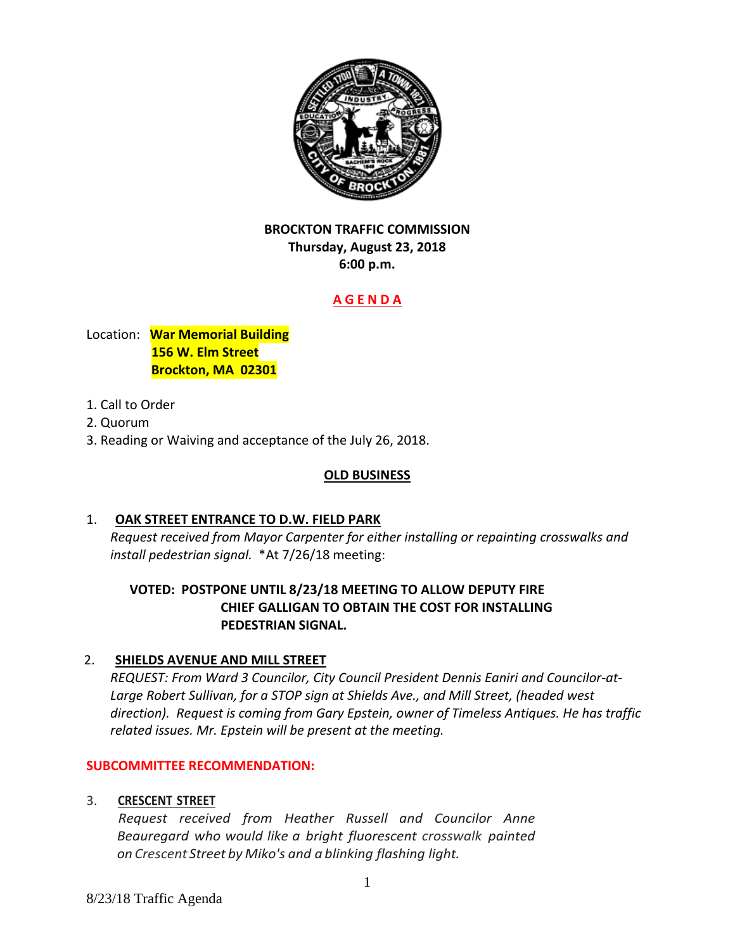

# **BROCKTON TRAFFIC COMMISSION Thursday, August 23, 2018 6:00 p.m.**

# **A G E N D A**

Location: **War Memorial Building 156 W. Elm Street Brockton, MA 02301** 

- 1. Call to Order
- 2. Quorum
- 3. Reading or Waiving and acceptance of the July 26, 2018.

# **OLD BUSINESS**

## 1. **OAK STREET ENTRANCE TO D.W. FIELD PARK**

*Request received from Mayor Carpenter for either installing or repainting crosswalks and install pedestrian signal.* \*At 7/26/18 meeting:

# **VOTED: POSTPONE UNTIL 8/23/18 MEETING TO ALLOW DEPUTY FIRE CHIEF GALLIGAN TO OBTAIN THE COST FOR INSTALLING PEDESTRIAN SIGNAL.**

## 2. **SHIELDS AVENUE AND MILL STREET**

*REQUEST: From Ward 3 Councilor, City Council President Dennis Eaniri and Councilor‐at‐ Large Robert Sullivan, for a STOP sign at Shields Ave., and Mill Street, (headed west direction). Request is coming from Gary Epstein, owner of Timeless Antiques. He has traffic related issues. Mr. Epstein will be present at the meeting.* 

## **SUBCOMMITTEE RECOMMENDATION:**

## 3. **CRESCENT STREET**

*Request received from Heather Russell and Councilor Anne Beauregard who would like a bright fluorescent crosswalk painted on Crescent Street by Miko's and a blinking flashing light.*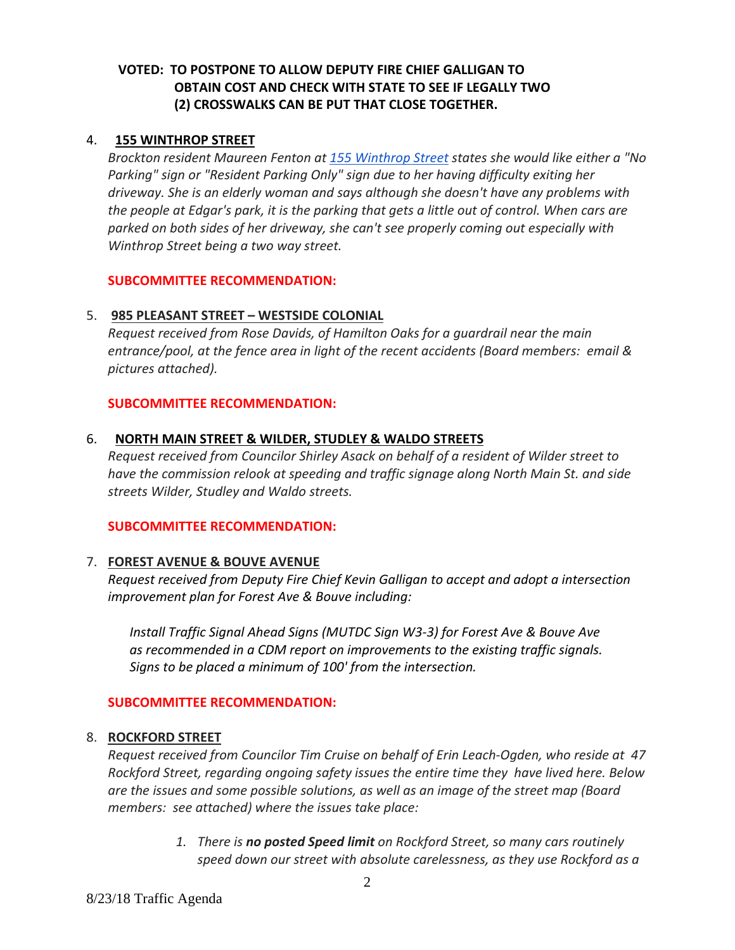# **VOTED:****TO POSTPONE TO ALLOW DEPUTY FIRE CHIEF GALLIGAN TO OBTAIN COST AND CHECK WITH STATE TO SEE IF LEGALLY TWO (2) CROSSWALKS CAN BE PUT THAT CLOSE TOGETHER.**

#### 4. **155 WINTHROP STREET**

*Brockton resident Maureen Fenton at 155 Winthrop Street states she would like either a "No Parking" sign or "Resident Parking Only" sign due to her having difficulty exiting her driveway. She is an elderly woman and says although she doesn't have any problems with* the people at Edgar's park, it is the parking that gets a little out of control. When cars are *parked on both sides of her driveway, she can't see properly coming out especially with Winthrop Street being a two way street.* 

#### **SUBCOMMITTEE RECOMMENDATION:**

### 5. **985 PLEASANT STREET – WESTSIDE COLONIAL**

*Request received from Rose Davids, of Hamilton Oaks for a guardrail near the main entrance/pool, at the fence area in light of the recent accidents (Board members: email & pictures attached).*

#### **SUBCOMMITTEE RECOMMENDATION:**

#### 6. **NORTH MAIN STREET & WILDER, STUDLEY & WALDO STREETS**

*Request received from Councilor Shirley Asack on behalf of a resident of Wilder street to have the commission relook at speeding and traffic signage along North Main St. and side streets Wilder, Studley and Waldo streets.*

#### **SUBCOMMITTEE RECOMMENDATION:**

#### 7. **FOREST AVENUE & BOUVE AVENUE**

*Request received from Deputy Fire Chief Kevin Galligan to accept and adopt a intersection improvement plan for Forest Ave & Bouve including:*

*Install Traffic Signal Ahead Signs (MUTDC Sign W3‐3) for Forest Ave & Bouve Ave as recommended in a CDM report on improvements to the existing traffic signals. Signs to be placed a minimum of 100' from the intersection.*

#### **SUBCOMMITTEE RECOMMENDATION:**

#### 8. **ROCKFORD STREET**

*Request received from Councilor Tim Cruise on behalf of Erin Leach‐Ogden, who reside at 47 Rockford Street, regarding ongoing safety issues the entire time they have lived here. Below are the issues and some possible solutions, as well as an image of the street map (Board members: see attached) where the issues take place:*

> *1. There is no posted Speed limit on Rockford Street, so many cars routinely speed down our street with absolute carelessness, as they use Rockford as a*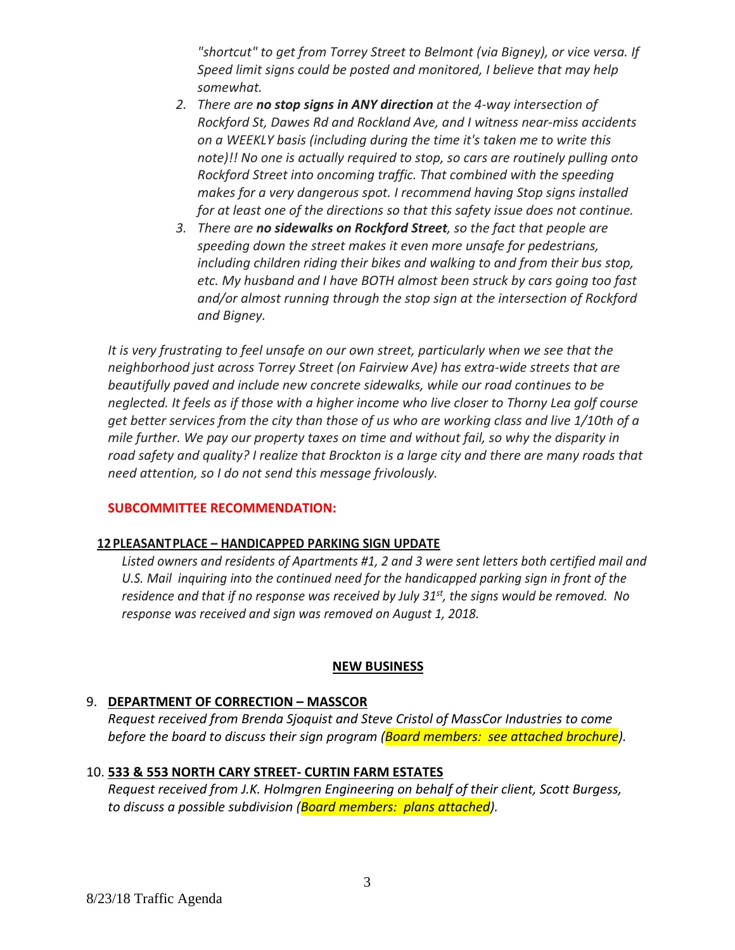*"shortcut" to get from Torrey Street to Belmont (via Bigney), or vice versa. If Speed limit signs could be posted and monitored, I believe that may help somewhat.*

- *2. There are no stop signs in ANY direction at the 4‐way intersection of Rockford St, Dawes Rd and Rockland Ave, and I witness near‐miss accidents on a WEEKLY basis (including during the time it's taken me to write this note)!! No one is actually required to stop, so cars are routinely pulling onto Rockford Street into oncoming traffic. That combined with the speeding makes for a very dangerous spot. I recommend having Stop signs installed for at least one of the directions so that this safety issue does not continue.*
- *3. There are no sidewalks on Rockford Street, so the fact that people are speeding down the street makes it even more unsafe for pedestrians, including children riding their bikes and walking to and from their bus stop, etc. My husband and I have BOTH almost been struck by cars going too fast and/or almost running through the stop sign at the intersection of Rockford and Bigney.*

*It is very frustrating to feel unsafe on our own street, particularly when we see that the neighborhood just across Torrey Street (on Fairview Ave) has extra‐wide streets that are beautifully paved and include new concrete sidewalks, while our road continues to be neglected. It feels as if those with a higher income who live closer to Thorny Lea golf course* get better services from the city than those of us who are working class and live 1/10th of a *mile further. We pay our property taxes on time and without fail, so why the disparity in road safety and quality? I realize that Brockton is a large city and there are many roads that need attention, so I do not send this message frivolously.* 

#### **SUBCOMMITTEE RECOMMENDATION:**

#### **12 PLEASANTPLACE – HANDICAPPED PARKING SIGN UPDATE**

*Listed owners and residents of Apartments #1, 2 and 3 were sent letters both certified mail and U.S. Mail inquiring into the continued need for the handicapped parking sign in front of the* residence and that if no response was received by July  $31<sup>st</sup>$ , the signs would be removed. No *response was received and sign was removed on August 1, 2018.*

#### **NEW BUSINESS**

#### 9. **DEPARTMENT OF CORRECTION – MASSCOR**

*Request received from Brenda Sjoquist and Steve Cristol of MassCor Industries to come before the board to discuss their sign program (Board members: see attached brochure).*

#### 10. **533 & 553 NORTH CARY STREET‐ CURTIN FARM ESTATES**

*Request received from J.K. Holmgren Engineering on behalf of their client, Scott Burgess, to discuss a possible subdivision (Board members: plans attached).*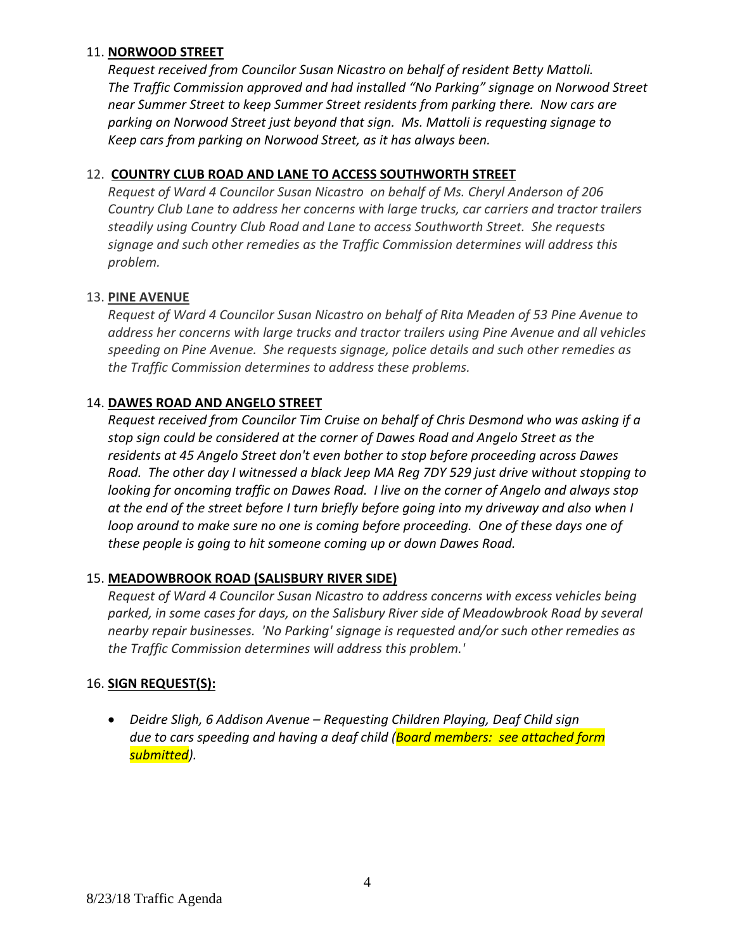## 11. **NORWOOD STREET**

*Request received from Councilor Susan Nicastro on behalf of resident Betty Mattoli. The Traffic Commission approved and had installed "No Parking" signage on Norwood Street near Summer Street to keep Summer Street residents from parking there. Now cars are parking on Norwood Street just beyond that sign. Ms. Mattoli is requesting signage to Keep cars from parking on Norwood Street, as it has always been.*

### 12. **COUNTRY CLUB ROAD AND LANE TO ACCESS SOUTHWORTH STREET**

*Request of Ward 4 Councilor Susan Nicastro on behalf of Ms. Cheryl Anderson of 206 Country Club Lane to address her concerns with large trucks, car carriers and tractor trailers steadily using Country Club Road and Lane to access Southworth Street. She requests signage and such other remedies as the Traffic Commission determines will address this problem.*

### 13. **PINE AVENUE**

*Request of Ward 4 Councilor Susan Nicastro on behalf of Rita Meaden of 53 Pine Avenue to address her concerns with large trucks and tractor trailers using Pine Avenue and all vehicles speeding on Pine Avenue. She requests signage, police details and such other remedies as the Traffic Commission determines to address these problems.*

### 14. **DAWES ROAD AND ANGELO STREET**

*Request received from Councilor Tim Cruise on behalf of Chris Desmond who was asking if a stop sign could be considered at the corner of Dawes Road and Angelo Street as the residents at 45 Angelo Street don't even bother to stop before proceeding across Dawes Road. The other day I witnessed a black Jeep MA Reg 7DY 529 just drive without stopping to looking for oncoming traffic on Dawes Road. I live on the corner of Angelo and always stop* at the end of the street before I turn briefly before going into my driveway and also when I *loop around to make sure no one is coming before proceeding. One of these days one of these people is going to hit someone coming up or down Dawes Road.* 

## 15. **MEADOWBROOK ROAD (SALISBURY RIVER SIDE)**

*Request of Ward 4 Councilor Susan Nicastro to address concerns with excess vehicles being parked, in some cases for days, on the Salisbury River side of Meadowbrook Road by several nearby repair businesses. 'No Parking' signage is requested and/or such other remedies as the Traffic Commission determines will address this problem.'*

## 16. **SIGN REQUEST(S):**

 *Deidre Sligh, 6 Addison Avenue – Requesting Children Playing, Deaf Child sign due to cars speeding and having a deaf child (Board members: see attached form submitted).*